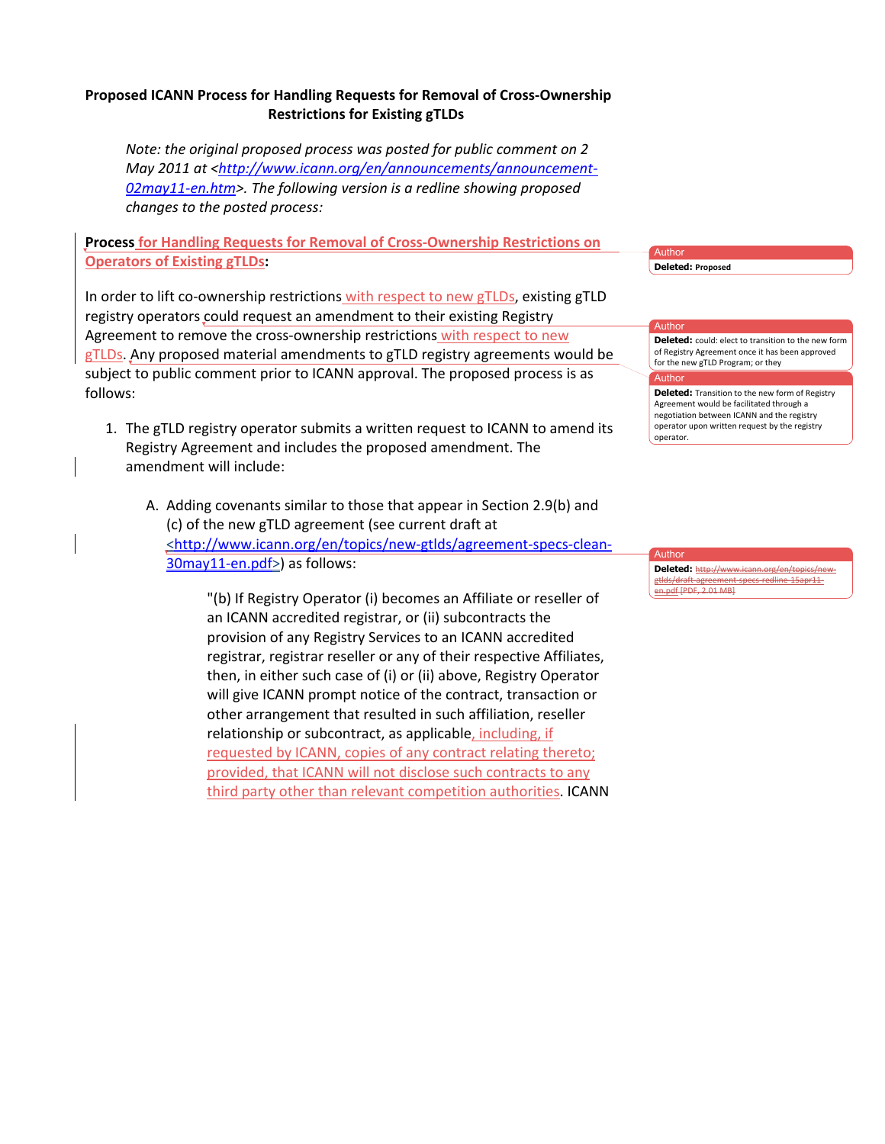## **Proposed ICANN Process for Handling Requests for Removal of Cross-Ownership Restrictions for Existing gTLDs**

*Note: the original proposed process was posted for public comment on 2 May 2011 at <http://www.icann.org/en/announcements/announcement-*02may11-en.htm>. The following version is a redline showing proposed changes to the posted process:

**Process for Handling Requests for Removal of Cross-Ownership Restrictions on Operators of Existing gTLDs:** 

In order to lift co-ownership restrictions with respect to new gTLDs, existing gTLD registry operators could request an amendment to their existing Registry Agreement to remove the cross-ownership restrictions with respect to new gTLDs. Any proposed material amendments to gTLD registry agreements would be subject to public comment prior to ICANN approval. The proposed process is as follows:

- 1. The gTLD registry operator submits a written request to ICANN to amend its Registry Agreement and includes the proposed amendment. The amendment will include:
	- A. Adding covenants similar to those that appear in Section 2.9(b) and (c) of the new gTLD agreement (see current draft at <http://www.icann.org/en/topics/new-gtlds/agreement-specs-clean- $30$ may11-en.pdf>) as follows:

"(b) If Registry Operator (i) becomes an Affiliate or reseller of an ICANN accredited registrar, or (ii) subcontracts the provision of any Registry Services to an ICANN accredited registrar, registrar reseller or any of their respective Affiliates, then, in either such case of (i) or (ii) above, Registry Operator will give ICANN prompt notice of the contract, transaction or other arrangement that resulted in such affiliation, reseller relationship or subcontract, as applicable, including, if requested by ICANN, copies of any contract relating thereto; provided, that ICANN will not disclose such contracts to any third party other than relevant competition authorities. ICANN

Author **Deleted: Proposed** 

Autho

## Author **Deleted:** could: elect to transition to the new form of Registry Agreement once it has been approved for the new gTLD Program; or they

**Deleted:** Transition to the new form of Registry Agreement would be facilitated through a negotiation between ICANN and the registry operator upon written request by the registry operator.#

Author **Deleted:** http://www.icann.org/en/topics/newgtlds/draft-agreen en.pdf [PDF, 2.01 MB]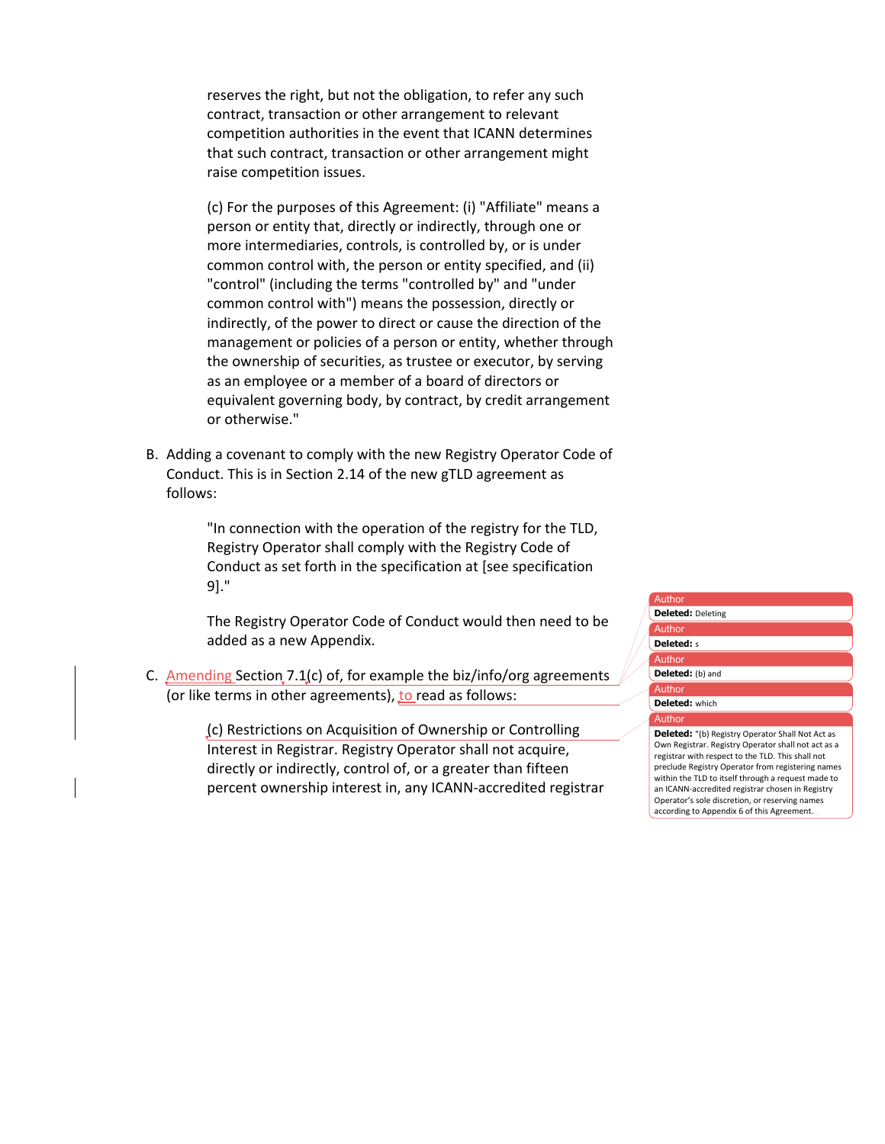reserves the right, but not the obligation, to refer any such contract, transaction or other arrangement to relevant competition authorities in the event that ICANN determines that such contract, transaction or other arrangement might raise competition issues.

(c) For the purposes of this Agreement: (i) "Affiliate" means a person or entity that, directly or indirectly, through one or more intermediaries, controls, is controlled by, or is under common control with, the person or entity specified, and (ii) "control" (including the terms "controlled by" and "under common control with") means the possession, directly or indirectly, of the power to direct or cause the direction of the management or policies of a person or entity, whether through the ownership of securities, as trustee or executor, by serving as an employee or a member of a board of directors or equivalent governing body, by contract, by credit arrangement or otherwise."

B. Adding a covenant to comply with the new Registry Operator Code of Conduct. This is in Section 2.14 of the new gTLD agreement as follows:

> "In connection with the operation of the registry for the TLD, Registry Operator shall comply with the Registry Code of Conduct as set forth in the specification at [see specification 9]."

The Registry Operator Code of Conduct would then need to be added as a new Appendix.

C. Amending Section 7.1(c) of, for example the biz/info/org agreements (or like terms in other agreements), to read as follows:

> (c) Restrictions on Acquisition of Ownership or Controlling Interest in Registrar. Registry Operator shall not acquire, directly or indirectly, control of, or a greater than fifteen percent ownership interest in, any ICANN-accredited registrar

## Author Author Autho Autho **Author Deleted:** Deleting **Deleted:** s Deleted: (b) and **Deleted:** which# **Deleted:** "(b) Registry Operator Shall Not Act as Own Registrar. Registry Operator shall not act as a

registrar with respect to the TLD. This shall not preclude Registry Operator from registering names within the TLD to itself through a request made to an ICANN-accredited registrar chosen in Registry Operator's sole discretion, or reserving names according to Appendix 6 of this Agreement.